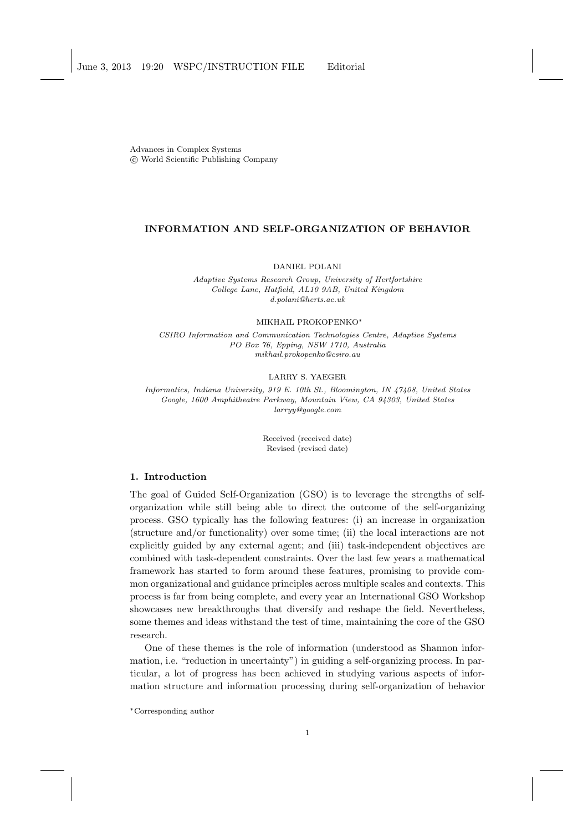Advances in Complex Systems c World Scientific Publishing Company

# INFORMATION AND SELF-ORGANIZATION OF BEHAVIOR

# DANIEL POLANI

Adaptive Systems Research Group, University of Hertfortshire College Lane, Hatfield, AL10 9AB, United Kingdom d.polani@herts.ac.uk

### MIKHAIL PROKOPENKO<sup>∗</sup>

CSIRO Information and Communication Technologies Centre, Adaptive Systems PO Box 76, Epping, NSW 1710, Australia mikhail.prokopenko@csiro.au

### LARRY S. YAEGER

Informatics, Indiana University, 919 E. 10th St., Bloomington, IN 47408, United States Google, 1600 Amphitheatre Parkway, Mountain View, CA 94303, United States larryy@google.com

> Received (received date) Revised (revised date)

## 1. Introduction

The goal of Guided Self-Organization (GSO) is to leverage the strengths of selforganization while still being able to direct the outcome of the self-organizing process. GSO typically has the following features: (i) an increase in organization (structure and/or functionality) over some time; (ii) the local interactions are not explicitly guided by any external agent; and (iii) task-independent objectives are combined with task-dependent constraints. Over the last few years a mathematical framework has started to form around these features, promising to provide common organizational and guidance principles across multiple scales and contexts. This process is far from being complete, and every year an International GSO Workshop showcases new breakthroughs that diversify and reshape the field. Nevertheless, some themes and ideas withstand the test of time, maintaining the core of the GSO research.

One of these themes is the role of information (understood as Shannon information, i.e. "reduction in uncertainty") in guiding a self-organizing process. In particular, a lot of progress has been achieved in studying various aspects of information structure and information processing during self-organization of behavior

<sup>∗</sup>Corresponding author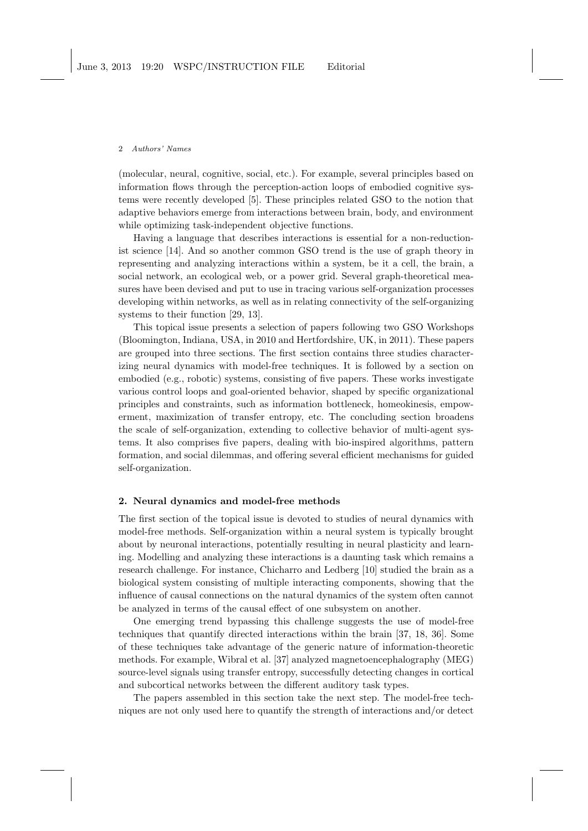(molecular, neural, cognitive, social, etc.). For example, several principles based on information flows through the perception-action loops of embodied cognitive systems were recently developed [5]. These principles related GSO to the notion that adaptive behaviors emerge from interactions between brain, body, and environment while optimizing task-independent objective functions.

Having a language that describes interactions is essential for a non-reductionist science [14]. And so another common GSO trend is the use of graph theory in representing and analyzing interactions within a system, be it a cell, the brain, a social network, an ecological web, or a power grid. Several graph-theoretical measures have been devised and put to use in tracing various self-organization processes developing within networks, as well as in relating connectivity of the self-organizing systems to their function [29, 13].

This topical issue presents a selection of papers following two GSO Workshops (Bloomington, Indiana, USA, in 2010 and Hertfordshire, UK, in 2011). These papers are grouped into three sections. The first section contains three studies characterizing neural dynamics with model-free techniques. It is followed by a section on embodied (e.g., robotic) systems, consisting of five papers. These works investigate various control loops and goal-oriented behavior, shaped by specific organizational principles and constraints, such as information bottleneck, homeokinesis, empowerment, maximization of transfer entropy, etc. The concluding section broadens the scale of self-organization, extending to collective behavior of multi-agent systems. It also comprises five papers, dealing with bio-inspired algorithms, pattern formation, and social dilemmas, and offering several efficient mechanisms for guided self-organization.

### 2. Neural dynamics and model-free methods

The first section of the topical issue is devoted to studies of neural dynamics with model-free methods. Self-organization within a neural system is typically brought about by neuronal interactions, potentially resulting in neural plasticity and learning. Modelling and analyzing these interactions is a daunting task which remains a research challenge. For instance, Chicharro and Ledberg [10] studied the brain as a biological system consisting of multiple interacting components, showing that the influence of causal connections on the natural dynamics of the system often cannot be analyzed in terms of the causal effect of one subsystem on another.

One emerging trend bypassing this challenge suggests the use of model-free techniques that quantify directed interactions within the brain [37, 18, 36]. Some of these techniques take advantage of the generic nature of information-theoretic methods. For example, Wibral et al. [37] analyzed magnetoencephalography (MEG) source-level signals using transfer entropy, successfully detecting changes in cortical and subcortical networks between the different auditory task types.

The papers assembled in this section take the next step. The model-free techniques are not only used here to quantify the strength of interactions and/or detect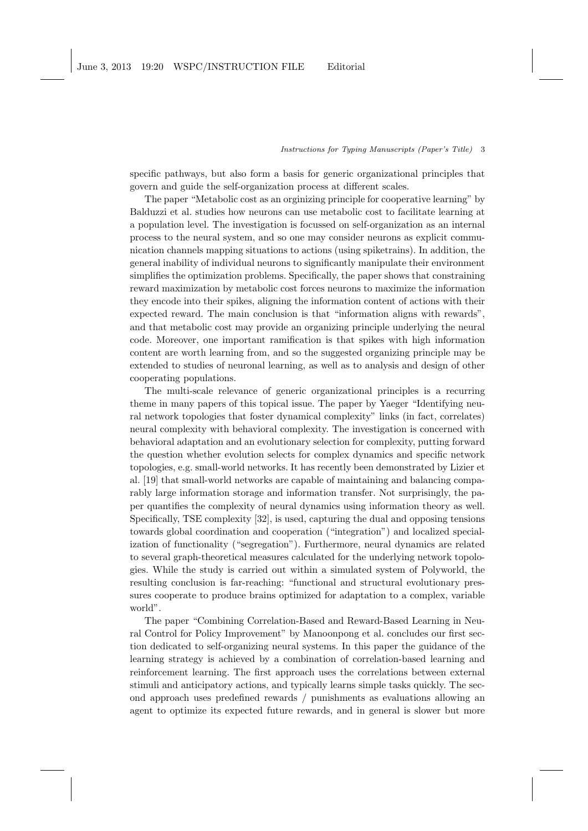specific pathways, but also form a basis for generic organizational principles that govern and guide the self-organization process at different scales.

The paper "Metabolic cost as an orginizing principle for cooperative learning" by Balduzzi et al. studies how neurons can use metabolic cost to facilitate learning at a population level. The investigation is focussed on self-organization as an internal process to the neural system, and so one may consider neurons as explicit communication channels mapping situations to actions (using spiketrains). In addition, the general inability of individual neurons to significantly manipulate their environment simplifies the optimization problems. Specifically, the paper shows that constraining reward maximization by metabolic cost forces neurons to maximize the information they encode into their spikes, aligning the information content of actions with their expected reward. The main conclusion is that "information aligns with rewards", and that metabolic cost may provide an organizing principle underlying the neural code. Moreover, one important ramification is that spikes with high information content are worth learning from, and so the suggested organizing principle may be extended to studies of neuronal learning, as well as to analysis and design of other cooperating populations.

The multi-scale relevance of generic organizational principles is a recurring theme in many papers of this topical issue. The paper by Yaeger "Identifying neural network topologies that foster dynamical complexity" links (in fact, correlates) neural complexity with behavioral complexity. The investigation is concerned with behavioral adaptation and an evolutionary selection for complexity, putting forward the question whether evolution selects for complex dynamics and specific network topologies, e.g. small-world networks. It has recently been demonstrated by Lizier et al. [19] that small-world networks are capable of maintaining and balancing comparably large information storage and information transfer. Not surprisingly, the paper quantifies the complexity of neural dynamics using information theory as well. Specifically, TSE complexity [32], is used, capturing the dual and opposing tensions towards global coordination and cooperation ("integration") and localized specialization of functionality ("segregation"). Furthermore, neural dynamics are related to several graph-theoretical measures calculated for the underlying network topologies. While the study is carried out within a simulated system of Polyworld, the resulting conclusion is far-reaching: "functional and structural evolutionary pressures cooperate to produce brains optimized for adaptation to a complex, variable world".

The paper "Combining Correlation-Based and Reward-Based Learning in Neural Control for Policy Improvement" by Manoonpong et al. concludes our first section dedicated to self-organizing neural systems. In this paper the guidance of the learning strategy is achieved by a combination of correlation-based learning and reinforcement learning. The first approach uses the correlations between external stimuli and anticipatory actions, and typically learns simple tasks quickly. The second approach uses predefined rewards / punishments as evaluations allowing an agent to optimize its expected future rewards, and in general is slower but more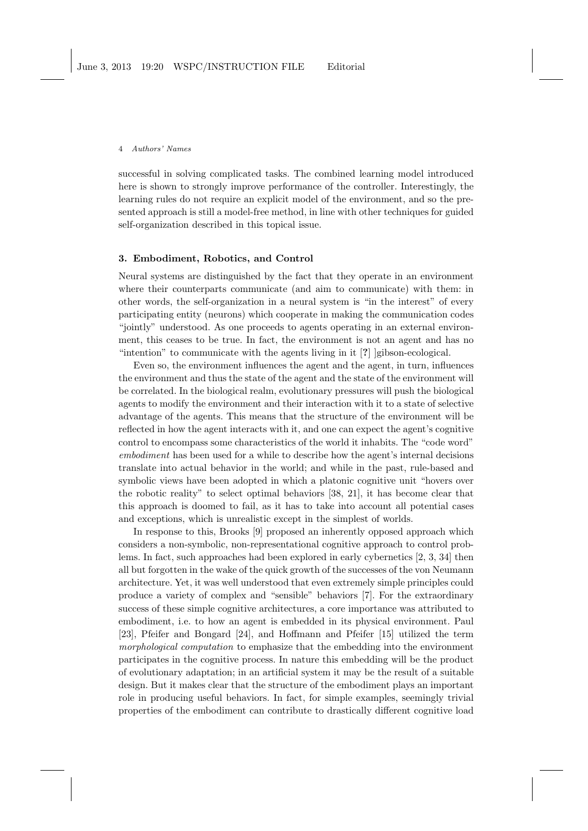successful in solving complicated tasks. The combined learning model introduced here is shown to strongly improve performance of the controller. Interestingly, the learning rules do not require an explicit model of the environment, and so the presented approach is still a model-free method, in line with other techniques for guided self-organization described in this topical issue.

# 3. Embodiment, Robotics, and Control

Neural systems are distinguished by the fact that they operate in an environment where their counterparts communicate (and aim to communicate) with them: in other words, the self-organization in a neural system is "in the interest" of every participating entity (neurons) which cooperate in making the communication codes "jointly" understood. As one proceeds to agents operating in an external environment, this ceases to be true. In fact, the environment is not an agent and has no "intention" to communicate with the agents living in it [?] ]gibson-ecological.

Even so, the environment influences the agent and the agent, in turn, influences the environment and thus the state of the agent and the state of the environment will be correlated. In the biological realm, evolutionary pressures will push the biological agents to modify the environment and their interaction with it to a state of selective advantage of the agents. This means that the structure of the environment will be reflected in how the agent interacts with it, and one can expect the agent's cognitive control to encompass some characteristics of the world it inhabits. The "code word" embodiment has been used for a while to describe how the agent's internal decisions translate into actual behavior in the world; and while in the past, rule-based and symbolic views have been adopted in which a platonic cognitive unit "hovers over the robotic reality" to select optimal behaviors [38, 21], it has become clear that this approach is doomed to fail, as it has to take into account all potential cases and exceptions, which is unrealistic except in the simplest of worlds.

In response to this, Brooks [9] proposed an inherently opposed approach which considers a non-symbolic, non-representational cognitive approach to control problems. In fact, such approaches had been explored in early cybernetics [2, 3, 34] then all but forgotten in the wake of the quick growth of the successes of the von Neumann architecture. Yet, it was well understood that even extremely simple principles could produce a variety of complex and "sensible" behaviors [7]. For the extraordinary success of these simple cognitive architectures, a core importance was attributed to embodiment, i.e. to how an agent is embedded in its physical environment. Paul [23], Pfeifer and Bongard [24], and Hoffmann and Pfeifer [15] utilized the term morphological computation to emphasize that the embedding into the environment participates in the cognitive process. In nature this embedding will be the product of evolutionary adaptation; in an artificial system it may be the result of a suitable design. But it makes clear that the structure of the embodiment plays an important role in producing useful behaviors. In fact, for simple examples, seemingly trivial properties of the embodiment can contribute to drastically different cognitive load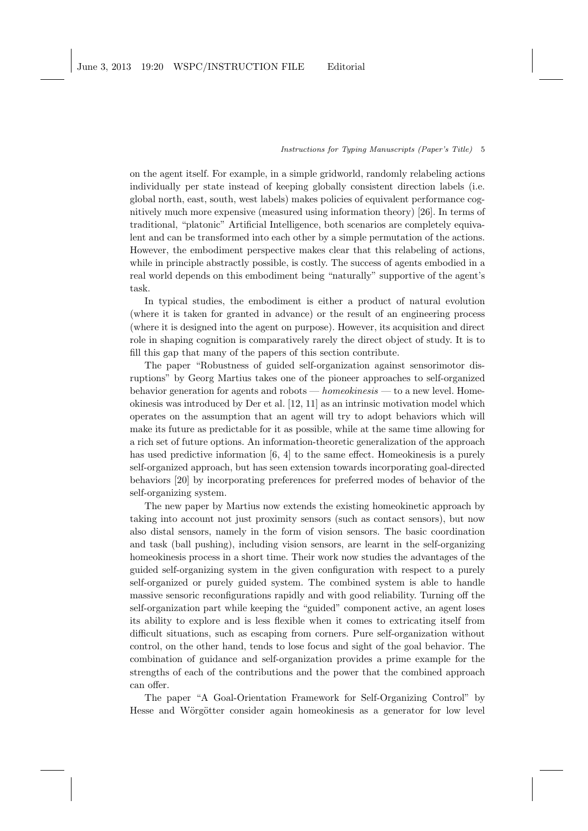on the agent itself. For example, in a simple gridworld, randomly relabeling actions individually per state instead of keeping globally consistent direction labels (i.e. global north, east, south, west labels) makes policies of equivalent performance cognitively much more expensive (measured using information theory) [26]. In terms of traditional, "platonic" Artificial Intelligence, both scenarios are completely equivalent and can be transformed into each other by a simple permutation of the actions. However, the embodiment perspective makes clear that this relabeling of actions, while in principle abstractly possible, is costly. The success of agents embodied in a real world depends on this embodiment being "naturally" supportive of the agent's task.

In typical studies, the embodiment is either a product of natural evolution (where it is taken for granted in advance) or the result of an engineering process (where it is designed into the agent on purpose). However, its acquisition and direct role in shaping cognition is comparatively rarely the direct object of study. It is to fill this gap that many of the papers of this section contribute.

The paper "Robustness of guided self-organization against sensorimotor disruptions" by Georg Martius takes one of the pioneer approaches to self-organized behavior generation for agents and robots — *homeokinesis* — to a new level. Homeokinesis was introduced by Der et al. [12, 11] as an intrinsic motivation model which operates on the assumption that an agent will try to adopt behaviors which will make its future as predictable for it as possible, while at the same time allowing for a rich set of future options. An information-theoretic generalization of the approach has used predictive information [6, 4] to the same effect. Homeokinesis is a purely self-organized approach, but has seen extension towards incorporating goal-directed behaviors [20] by incorporating preferences for preferred modes of behavior of the self-organizing system.

The new paper by Martius now extends the existing homeokinetic approach by taking into account not just proximity sensors (such as contact sensors), but now also distal sensors, namely in the form of vision sensors. The basic coordination and task (ball pushing), including vision sensors, are learnt in the self-organizing homeokinesis process in a short time. Their work now studies the advantages of the guided self-organizing system in the given configuration with respect to a purely self-organized or purely guided system. The combined system is able to handle massive sensoric reconfigurations rapidly and with good reliability. Turning off the self-organization part while keeping the "guided" component active, an agent loses its ability to explore and is less flexible when it comes to extricating itself from difficult situations, such as escaping from corners. Pure self-organization without control, on the other hand, tends to lose focus and sight of the goal behavior. The combination of guidance and self-organization provides a prime example for the strengths of each of the contributions and the power that the combined approach can offer.

The paper "A Goal-Orientation Framework for Self-Organizing Control" by Hesse and Wörgötter consider again homeokinesis as a generator for low level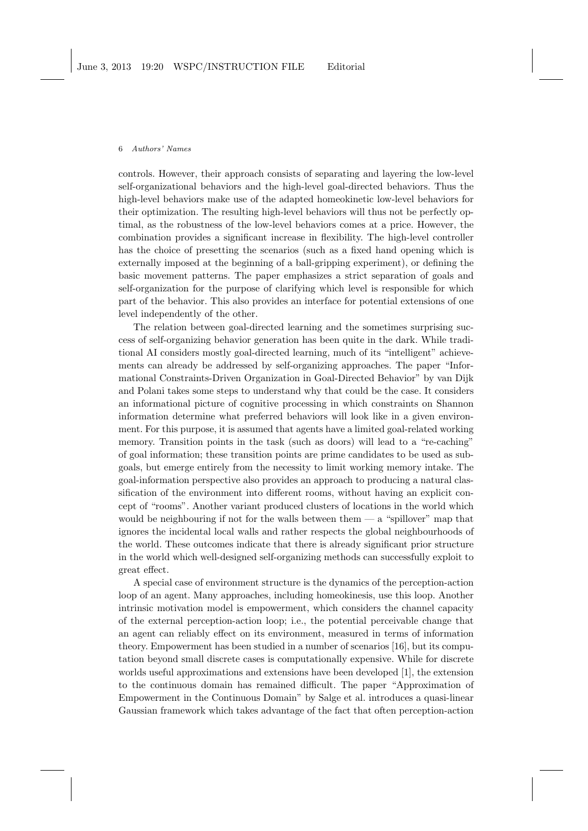controls. However, their approach consists of separating and layering the low-level self-organizational behaviors and the high-level goal-directed behaviors. Thus the high-level behaviors make use of the adapted homeokinetic low-level behaviors for their optimization. The resulting high-level behaviors will thus not be perfectly optimal, as the robustness of the low-level behaviors comes at a price. However, the combination provides a significant increase in flexibility. The high-level controller has the choice of presetting the scenarios (such as a fixed hand opening which is externally imposed at the beginning of a ball-gripping experiment), or defining the basic movement patterns. The paper emphasizes a strict separation of goals and self-organization for the purpose of clarifying which level is responsible for which part of the behavior. This also provides an interface for potential extensions of one level independently of the other.

The relation between goal-directed learning and the sometimes surprising success of self-organizing behavior generation has been quite in the dark. While traditional AI considers mostly goal-directed learning, much of its "intelligent" achievements can already be addressed by self-organizing approaches. The paper "Informational Constraints-Driven Organization in Goal-Directed Behavior" by van Dijk and Polani takes some steps to understand why that could be the case. It considers an informational picture of cognitive processing in which constraints on Shannon information determine what preferred behaviors will look like in a given environment. For this purpose, it is assumed that agents have a limited goal-related working memory. Transition points in the task (such as doors) will lead to a "re-caching" of goal information; these transition points are prime candidates to be used as subgoals, but emerge entirely from the necessity to limit working memory intake. The goal-information perspective also provides an approach to producing a natural classification of the environment into different rooms, without having an explicit concept of "rooms". Another variant produced clusters of locations in the world which would be neighbouring if not for the walls between them — a "spillover" map that ignores the incidental local walls and rather respects the global neighbourhoods of the world. These outcomes indicate that there is already significant prior structure in the world which well-designed self-organizing methods can successfully exploit to great effect.

A special case of environment structure is the dynamics of the perception-action loop of an agent. Many approaches, including homeokinesis, use this loop. Another intrinsic motivation model is empowerment, which considers the channel capacity of the external perception-action loop; i.e., the potential perceivable change that an agent can reliably effect on its environment, measured in terms of information theory. Empowerment has been studied in a number of scenarios [16], but its computation beyond small discrete cases is computationally expensive. While for discrete worlds useful approximations and extensions have been developed [1], the extension to the continuous domain has remained difficult. The paper "Approximation of Empowerment in the Continuous Domain" by Salge et al. introduces a quasi-linear Gaussian framework which takes advantage of the fact that often perception-action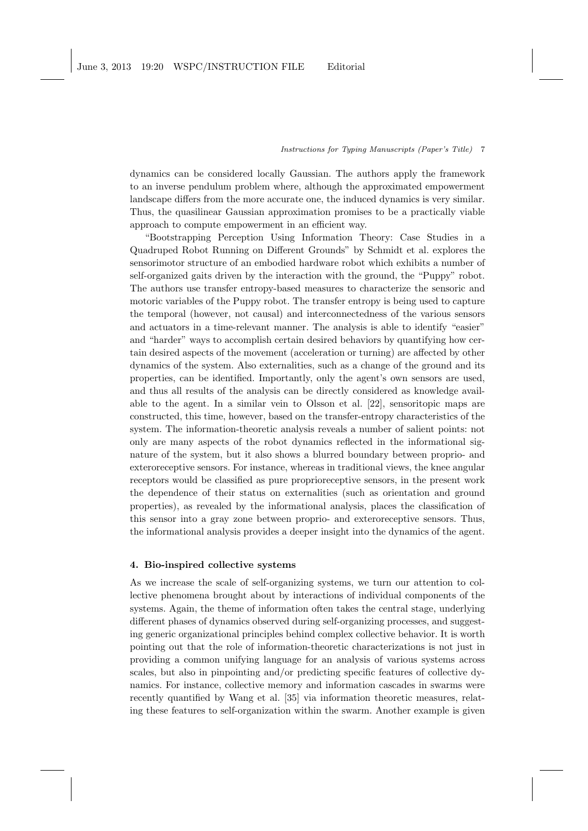dynamics can be considered locally Gaussian. The authors apply the framework to an inverse pendulum problem where, although the approximated empowerment landscape differs from the more accurate one, the induced dynamics is very similar. Thus, the quasilinear Gaussian approximation promises to be a practically viable approach to compute empowerment in an efficient way.

"Bootstrapping Perception Using Information Theory: Case Studies in a Quadruped Robot Running on Different Grounds" by Schmidt et al. explores the sensorimotor structure of an embodied hardware robot which exhibits a number of self-organized gaits driven by the interaction with the ground, the "Puppy" robot. The authors use transfer entropy-based measures to characterize the sensoric and motoric variables of the Puppy robot. The transfer entropy is being used to capture the temporal (however, not causal) and interconnectedness of the various sensors and actuators in a time-relevant manner. The analysis is able to identify "easier" and "harder" ways to accomplish certain desired behaviors by quantifying how certain desired aspects of the movement (acceleration or turning) are affected by other dynamics of the system. Also externalities, such as a change of the ground and its properties, can be identified. Importantly, only the agent's own sensors are used, and thus all results of the analysis can be directly considered as knowledge available to the agent. In a similar vein to Olsson et al. [22], sensoritopic maps are constructed, this time, however, based on the transfer-entropy characteristics of the system. The information-theoretic analysis reveals a number of salient points: not only are many aspects of the robot dynamics reflected in the informational signature of the system, but it also shows a blurred boundary between proprio- and exteroreceptive sensors. For instance, whereas in traditional views, the knee angular receptors would be classified as pure proprioreceptive sensors, in the present work the dependence of their status on externalities (such as orientation and ground properties), as revealed by the informational analysis, places the classification of this sensor into a gray zone between proprio- and exteroreceptive sensors. Thus, the informational analysis provides a deeper insight into the dynamics of the agent.

## 4. Bio-inspired collective systems

As we increase the scale of self-organizing systems, we turn our attention to collective phenomena brought about by interactions of individual components of the systems. Again, the theme of information often takes the central stage, underlying different phases of dynamics observed during self-organizing processes, and suggesting generic organizational principles behind complex collective behavior. It is worth pointing out that the role of information-theoretic characterizations is not just in providing a common unifying language for an analysis of various systems across scales, but also in pinpointing and/or predicting specific features of collective dynamics. For instance, collective memory and information cascades in swarms were recently quantified by Wang et al. [35] via information theoretic measures, relating these features to self-organization within the swarm. Another example is given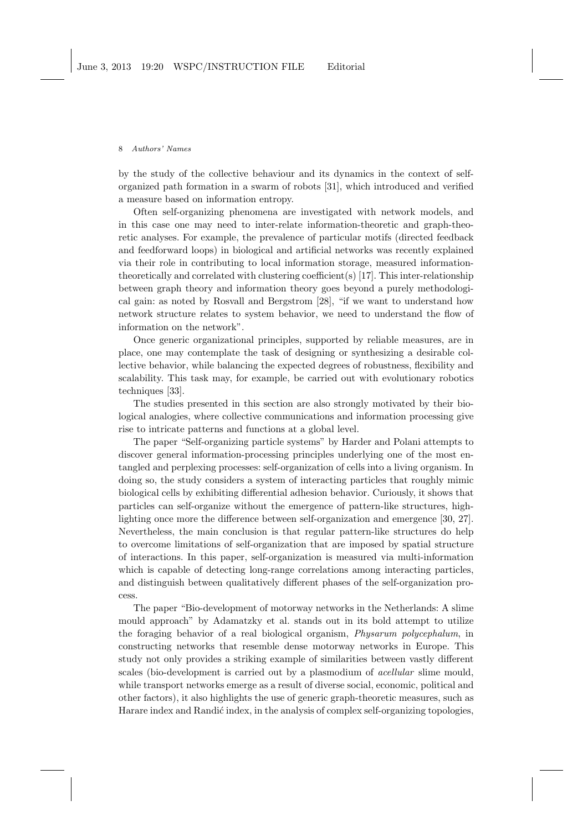by the study of the collective behaviour and its dynamics in the context of selforganized path formation in a swarm of robots [31], which introduced and verified a measure based on information entropy.

Often self-organizing phenomena are investigated with network models, and in this case one may need to inter-relate information-theoretic and graph-theoretic analyses. For example, the prevalence of particular motifs (directed feedback and feedforward loops) in biological and artificial networks was recently explained via their role in contributing to local information storage, measured informationtheoretically and correlated with clustering coefficient(s) [17]. This inter-relationship between graph theory and information theory goes beyond a purely methodological gain: as noted by Rosvall and Bergstrom [28], "if we want to understand how network structure relates to system behavior, we need to understand the flow of information on the network".

Once generic organizational principles, supported by reliable measures, are in place, one may contemplate the task of designing or synthesizing a desirable collective behavior, while balancing the expected degrees of robustness, flexibility and scalability. This task may, for example, be carried out with evolutionary robotics techniques [33].

The studies presented in this section are also strongly motivated by their biological analogies, where collective communications and information processing give rise to intricate patterns and functions at a global level.

The paper "Self-organizing particle systems" by Harder and Polani attempts to discover general information-processing principles underlying one of the most entangled and perplexing processes: self-organization of cells into a living organism. In doing so, the study considers a system of interacting particles that roughly mimic biological cells by exhibiting differential adhesion behavior. Curiously, it shows that particles can self-organize without the emergence of pattern-like structures, highlighting once more the difference between self-organization and emergence [30, 27]. Nevertheless, the main conclusion is that regular pattern-like structures do help to overcome limitations of self-organization that are imposed by spatial structure of interactions. In this paper, self-organization is measured via multi-information which is capable of detecting long-range correlations among interacting particles, and distinguish between qualitatively different phases of the self-organization process.

The paper "Bio-development of motorway networks in the Netherlands: A slime mould approach" by Adamatzky et al. stands out in its bold attempt to utilize the foraging behavior of a real biological organism, Physarum polycephalum, in constructing networks that resemble dense motorway networks in Europe. This study not only provides a striking example of similarities between vastly different scales (bio-development is carried out by a plasmodium of acellular slime mould, while transport networks emerge as a result of diverse social, economic, political and other factors), it also highlights the use of generic graph-theoretic measures, such as Harare index and Randić index, in the analysis of complex self-organizing topologies,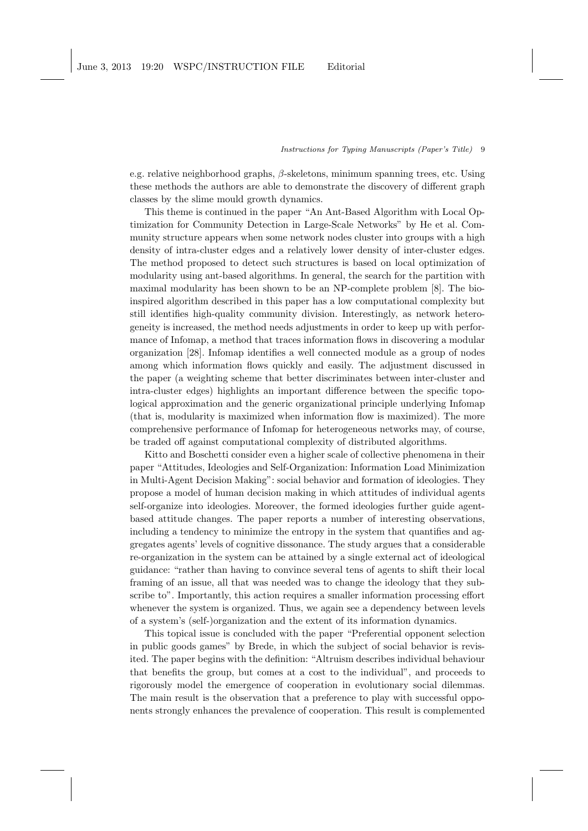e.g. relative neighborhood graphs,  $\beta$ -skeletons, minimum spanning trees, etc. Using these methods the authors are able to demonstrate the discovery of different graph classes by the slime mould growth dynamics.

This theme is continued in the paper "An Ant-Based Algorithm with Local Optimization for Community Detection in Large-Scale Networks" by He et al. Community structure appears when some network nodes cluster into groups with a high density of intra-cluster edges and a relatively lower density of inter-cluster edges. The method proposed to detect such structures is based on local optimization of modularity using ant-based algorithms. In general, the search for the partition with maximal modularity has been shown to be an NP-complete problem [8]. The bioinspired algorithm described in this paper has a low computational complexity but still identifies high-quality community division. Interestingly, as network heterogeneity is increased, the method needs adjustments in order to keep up with performance of Infomap, a method that traces information flows in discovering a modular organization [28]. Infomap identifies a well connected module as a group of nodes among which information flows quickly and easily. The adjustment discussed in the paper (a weighting scheme that better discriminates between inter-cluster and intra-cluster edges) highlights an important difference between the specific topological approximation and the generic organizational principle underlying Infomap (that is, modularity is maximized when information flow is maximized). The more comprehensive performance of Infomap for heterogeneous networks may, of course, be traded off against computational complexity of distributed algorithms.

Kitto and Boschetti consider even a higher scale of collective phenomena in their paper "Attitudes, Ideologies and Self-Organization: Information Load Minimization in Multi-Agent Decision Making": social behavior and formation of ideologies. They propose a model of human decision making in which attitudes of individual agents self-organize into ideologies. Moreover, the formed ideologies further guide agentbased attitude changes. The paper reports a number of interesting observations, including a tendency to minimize the entropy in the system that quantifies and aggregates agents' levels of cognitive dissonance. The study argues that a considerable re-organization in the system can be attained by a single external act of ideological guidance: "rather than having to convince several tens of agents to shift their local framing of an issue, all that was needed was to change the ideology that they subscribe to". Importantly, this action requires a smaller information processing effort whenever the system is organized. Thus, we again see a dependency between levels of a system's (self-)organization and the extent of its information dynamics.

This topical issue is concluded with the paper "Preferential opponent selection in public goods games" by Brede, in which the subject of social behavior is revisited. The paper begins with the definition: "Altruism describes individual behaviour that benefits the group, but comes at a cost to the individual", and proceeds to rigorously model the emergence of cooperation in evolutionary social dilemmas. The main result is the observation that a preference to play with successful opponents strongly enhances the prevalence of cooperation. This result is complemented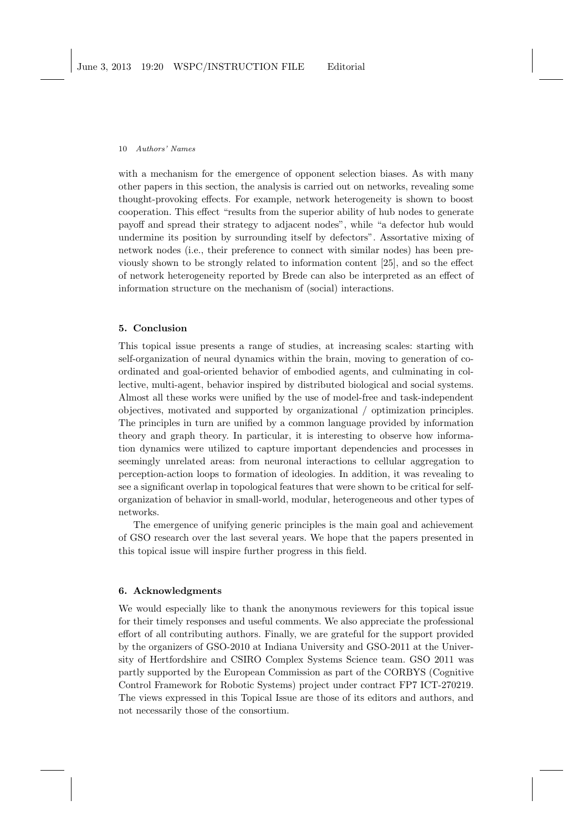with a mechanism for the emergence of opponent selection biases. As with many other papers in this section, the analysis is carried out on networks, revealing some thought-provoking effects. For example, network heterogeneity is shown to boost cooperation. This effect "results from the superior ability of hub nodes to generate payoff and spread their strategy to adjacent nodes", while "a defector hub would undermine its position by surrounding itself by defectors". Assortative mixing of network nodes (i.e., their preference to connect with similar nodes) has been previously shown to be strongly related to information content [25], and so the effect of network heterogeneity reported by Brede can also be interpreted as an effect of information structure on the mechanism of (social) interactions.

# 5. Conclusion

This topical issue presents a range of studies, at increasing scales: starting with self-organization of neural dynamics within the brain, moving to generation of coordinated and goal-oriented behavior of embodied agents, and culminating in collective, multi-agent, behavior inspired by distributed biological and social systems. Almost all these works were unified by the use of model-free and task-independent objectives, motivated and supported by organizational / optimization principles. The principles in turn are unified by a common language provided by information theory and graph theory. In particular, it is interesting to observe how information dynamics were utilized to capture important dependencies and processes in seemingly unrelated areas: from neuronal interactions to cellular aggregation to perception-action loops to formation of ideologies. In addition, it was revealing to see a significant overlap in topological features that were shown to be critical for selforganization of behavior in small-world, modular, heterogeneous and other types of networks.

The emergence of unifying generic principles is the main goal and achievement of GSO research over the last several years. We hope that the papers presented in this topical issue will inspire further progress in this field.

## 6. Acknowledgments

We would especially like to thank the anonymous reviewers for this topical issue for their timely responses and useful comments. We also appreciate the professional effort of all contributing authors. Finally, we are grateful for the support provided by the organizers of GSO-2010 at Indiana University and GSO-2011 at the University of Hertfordshire and CSIRO Complex Systems Science team. GSO 2011 was partly supported by the European Commission as part of the CORBYS (Cognitive Control Framework for Robotic Systems) project under contract FP7 ICT-270219. The views expressed in this Topical Issue are those of its editors and authors, and not necessarily those of the consortium.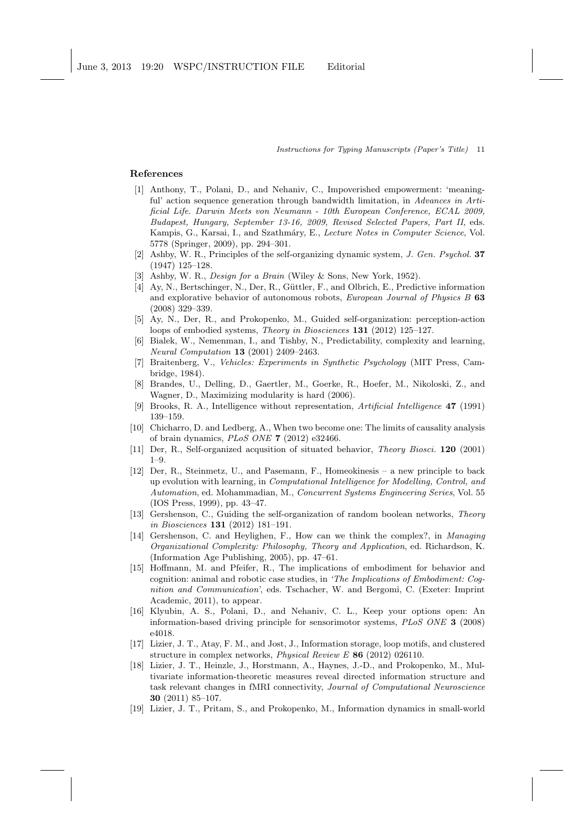#### References

- [1] Anthony, T., Polani, D., and Nehaniv, C., Impoverished empowerment: 'meaningful' action sequence generation through bandwidth limitation, in Advances in Artificial Life. Darwin Meets von Neumann - 10th European Conference, ECAL 2009, Budapest, Hungary, September 13-16, 2009, Revised Selected Papers, Part II, eds. Kampis, G., Karsai, I., and Szathmáry, E., Lecture Notes in Computer Science, Vol. 5778 (Springer, 2009), pp. 294–301.
- [2] Ashby, W. R., Principles of the self-organizing dynamic system, J. Gen. Psychol. 37 (1947) 125–128.
- [3] Ashby, W. R., *Design for a Brain* (Wiley & Sons, New York, 1952).
- [4] Ay, N., Bertschinger, N., Der, R., Güttler, F., and Olbrich, E., Predictive information and explorative behavior of autonomous robots, European Journal of Physics B 63 (2008) 329–339.
- [5] Ay, N., Der, R., and Prokopenko, M., Guided self-organization: perception-action loops of embodied systems, Theory in Biosciences 131 (2012) 125–127.
- [6] Bialek, W., Nemenman, I., and Tishby, N., Predictability, complexity and learning, Neural Computation 13 (2001) 2409–2463.
- [7] Braitenberg, V., Vehicles: Experiments in Synthetic Psychology (MIT Press, Cambridge, 1984).
- [8] Brandes, U., Delling, D., Gaertler, M., Goerke, R., Hoefer, M., Nikoloski, Z., and Wagner, D., Maximizing modularity is hard (2006).
- [9] Brooks, R. A., Intelligence without representation, Artificial Intelligence 47 (1991) 139–159.
- [10] Chicharro, D. and Ledberg, A., When two become one: The limits of causality analysis of brain dynamics, PLoS ONE 7 (2012) e32466.
- [11] Der, R., Self-organized acqusition of situated behavior, Theory Biosci. 120 (2001) 1–9.
- [12] Der, R., Steinmetz, U., and Pasemann, F., Homeokinesis a new principle to back up evolution with learning, in Computational Intelligence for Modelling, Control, and Automation, ed. Mohammadian, M., Concurrent Systems Engineering Series, Vol. 55 (IOS Press, 1999), pp. 43–47.
- [13] Gershenson, C., Guiding the self-organization of random boolean networks, Theory in Biosciences 131 (2012) 181–191.
- [14] Gershenson, C. and Heylighen, F., How can we think the complex?, in Managing Organizational Complexity: Philosophy, Theory and Application, ed. Richardson, K. (Information Age Publishing, 2005), pp. 47–61.
- [15] Hoffmann, M. and Pfeifer, R., The implications of embodiment for behavior and cognition: animal and robotic case studies, in 'The Implications of Embodiment: Cognition and Communication', eds. Tschacher, W. and Bergomi, C. (Exeter: Imprint Academic, 2011), to appear.
- [16] Klyubin, A. S., Polani, D., and Nehaniv, C. L., Keep your options open: An information-based driving principle for sensorimotor systems, PLoS ONE 3 (2008) e4018.
- [17] Lizier, J. T., Atay, F. M., and Jost, J., Information storage, loop motifs, and clustered structure in complex networks, Physical Review E 86 (2012) 026110.
- [18] Lizier, J. T., Heinzle, J., Horstmann, A., Haynes, J.-D., and Prokopenko, M., Multivariate information-theoretic measures reveal directed information structure and task relevant changes in fMRI connectivity, Journal of Computational Neuroscience 30 (2011) 85–107.
- [19] Lizier, J. T., Pritam, S., and Prokopenko, M., Information dynamics in small-world